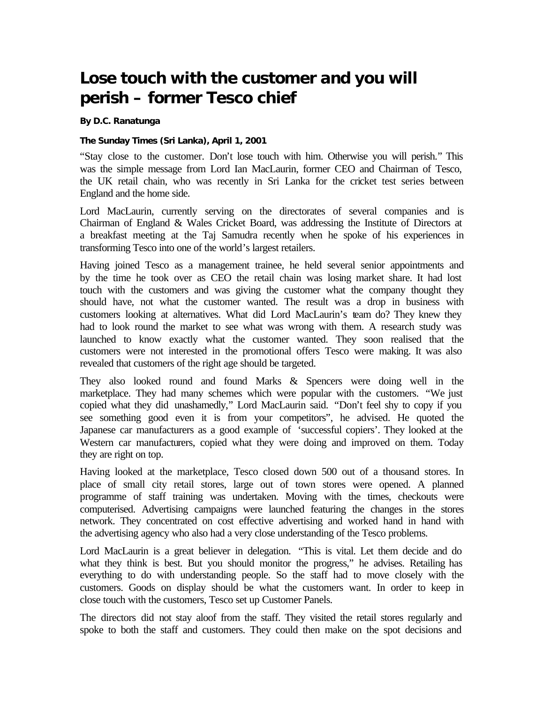## **Lose touch with the customer and you will perish – former Tesco chief**

**By D.C. Ranatunga**

## **The Sunday Times (Sri Lanka), April 1, 2001**

"Stay close to the customer. Don't lose touch with him. Otherwise you will perish." This was the simple message from Lord Ian MacLaurin, former CEO and Chairman of Tesco, the UK retail chain, who was recently in Sri Lanka for the cricket test series between England and the home side.

Lord MacLaurin, currently serving on the directorates of several companies and is Chairman of England & Wales Cricket Board, was addressing the Institute of Directors at a breakfast meeting at the Taj Samudra recently when he spoke of his experiences in transforming Tesco into one of the world's largest retailers.

Having joined Tesco as a management trainee, he held several senior appointments and by the time he took over as CEO the retail chain was losing market share. It had lost touch with the customers and was giving the customer what the company thought they should have, not what the customer wanted. The result was a drop in business with customers looking at alternatives. What did Lord MacLaurin's team do? They knew they had to look round the market to see what was wrong with them. A research study was launched to know exactly what the customer wanted. They soon realised that the customers were not interested in the promotional offers Tesco were making. It was also revealed that customers of the right age should be targeted.

They also looked round and found Marks & Spencers were doing well in the marketplace. They had many schemes which were popular with the customers. "We just copied what they did unashamedly," Lord MacLaurin said. "Don't feel shy to copy if you see something good even it is from your competitors", he advised. He quoted the Japanese car manufacturers as a good example of 'successful copiers'. They looked at the Western car manufacturers, copied what they were doing and improved on them. Today they are right on top.

Having looked at the marketplace, Tesco closed down 500 out of a thousand stores. In place of small city retail stores, large out of town stores were opened. A planned programme of staff training was undertaken. Moving with the times, checkouts were computerised. Advertising campaigns were launched featuring the changes in the stores network. They concentrated on cost effective advertising and worked hand in hand with the advertising agency who also had a very close understanding of the Tesco problems.

Lord MacLaurin is a great believer in delegation. "This is vital. Let them decide and do what they think is best. But you should monitor the progress," he advises. Retailing has everything to do with understanding people. So the staff had to move closely with the customers. Goods on display should be what the customers want. In order to keep in close touch with the customers, Tesco set up Customer Panels.

The directors did not stay aloof from the staff. They visited the retail stores regularly and spoke to both the staff and customers. They could then make on the spot decisions and